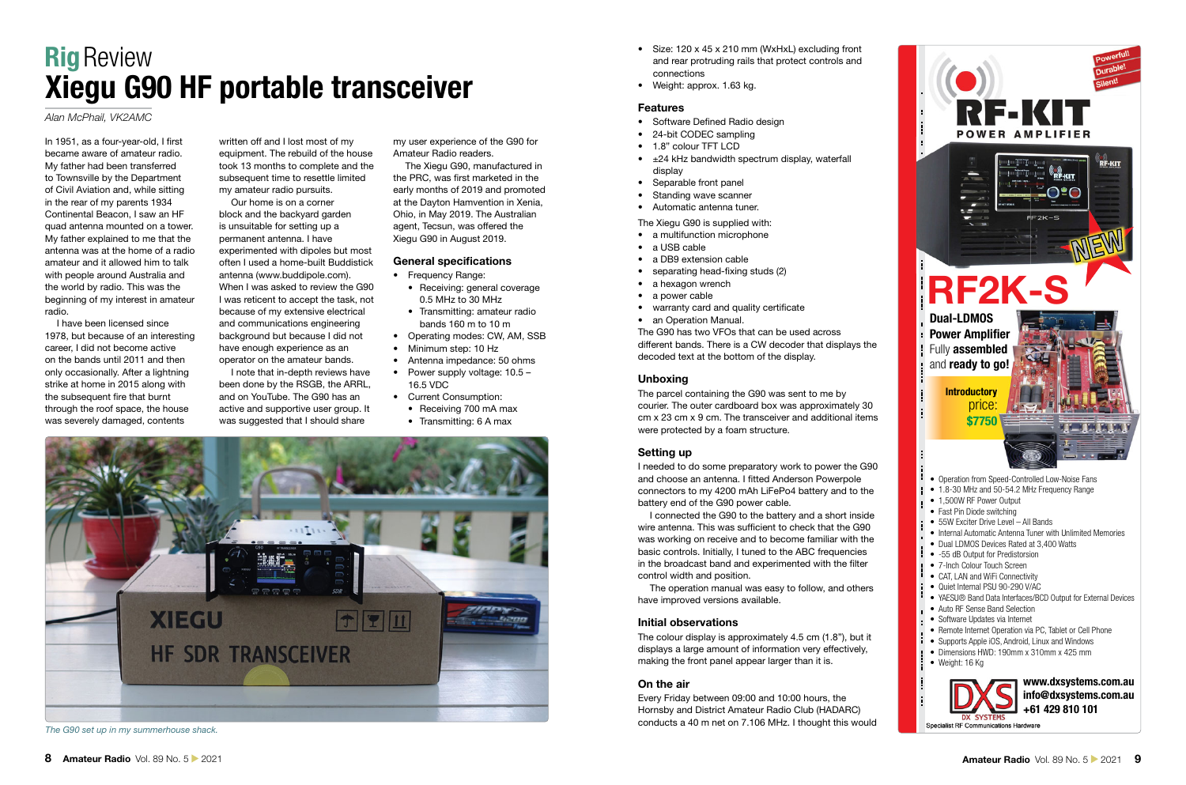# **Xiegu General Construction Construction Construction Construction Construction Construction Construction Construction Construction Construction Construction Construction Construction Construction Construction Construction Rig Review<br>Xiegu G90 HF portable transceiver**

# *Alan McPhail, VK2AMC*

In 1951, as a four-year-old, I first became aware of amateur radio. My father had been transferred to Townsville by the Department of Civil Aviation and, while sitting in the rear of my parents 1934 Continental Beacon, I saw an HF quad antenna mounted on a tower. My father explained to me that the antenna was at the home of a radio amateur and it allowed him to talk with people around Australia and the world by radio. This was the beginning of my interest in amateur radio.

I have been licensed since 1978, but because of an interesting career, I did not become active on the bands until 2011 and then only occasionally. After a lightning strike at home in 2015 along with the subsequent fire that burnt through the roof space, the house was severely damaged, contents

written off and I lost most of my equipment. The rebuild of the house took 13 months to complete and the subsequent time to resettle limited my amateur radio pursuits.

Our home is on a corner block and the backyard garden is unsuitable for setting up a permanent antenna. I have experimented with dipoles but most often I used a home-built Buddistick antenna (www.buddipole.com). When I was asked to review the G90 I was reticent to accept the task, not because of my extensive electrical and communications engineering background but because I did not have enough experience as an operator on the amateur bands.

I note that in-depth reviews have been done by the RSGB, the ARRL, and on YouTube. The G90 has an active and supportive user group. It was suggested that I should share

my user experience of the G90 for Amateur Radio readers.

The Xiegu G90, manufactured in the PRC, was first marketed in the early months of 2019 and promoted at the Dayton Hamvention in Xenia, Ohio, in May 2019. The Australian agent, Tecsun, was offered the Xiegu G90 in August 2019.

### **General specifications**

- Frequency Range:
	- Receiving: general coverage 0.5 MHz to 30 MHz
	- Transmitting: amateur radio bands 160 m to 10 m
- Operating modes: CW, AM, SSB
- Minimum step: 10 Hz
- Antenna impedance: 50 ohms • Power supply voltage: 10.5 –
- 16.5 VDC
- Current Consumption:
	- Receiving 700 mA max
	- Transmitting: 6 A max



*The G90 set up in my summerhouse shack.*

- Size: 120 x 45 x 210 mm (WxHxL) excluding front and rear protruding rails that protect controls and connections
- Weight: approx. 1.63 kg.

#### **Features**

- Software Defined Radio design
- 24-bit CODEC sampling
- 1.8" colour TFT LCD
- $\cdot$   $\pm$ 24 kHz bandwidth spectrum display, waterfall display
- Separable front panel
- Standing wave scanner
- Automatic antenna tuner.

#### The Xiegu G90 is supplied with:

- a multifunction microphone
- a USB cable
- a DB9 extension cable
- $\bullet$  separating head-fixing studs (2)
- a hexagon wrench
- a power cable
- warranty card and quality certificate
- an Operation Manual.

The G90 has two VFOs that can be used across different bands. There is a CW decoder that displays the decoded text at the bottom of the display.

#### **Unboxing**

The parcel containing the G90 was sent to me by courier. The outer cardboard box was approximately 30 cm x 23 cm x 9 cm. The transceiver and additional items were protected by a foam structure.

#### **Setting up**

I needed to do some preparatory work to power the G90 and choose an antenna. I fitted Anderson Powerpole connectors to my 4200 mAh LiFePo4 battery and to the battery end of the G90 power cable.

I connected the G90 to the battery and a short inside wire antenna. This was sufficient to check that the G90 was working on receive and to become familiar with the basic controls. Initially, I tuned to the ABC frequencies in the broadcast band and experimented with the filter control width and position.

The operation manual was easy to follow, and others have improved versions available.

## **Initial observations**

The colour display is approximately 4.5 cm (1.8"), but it displays a large amount of information very effectively, making the front panel appear larger than it is.

## **On the air**

Every Friday between 09:00 and 10:00 hours, the Hornsby and District Amateur Radio Club (HADARC) conducts a 40 m net on 7.106 MHz. I thought this would



- Operation from Speed-Controlled Low-Noise Fans
- 1.8-30 MHz and 50-54.2 MHz Frequency Range
- 1,500W RF Power Output
- Fast Pin Diode switching
- 55W Exciter Drive Level All Bands
- Internal Automatic Antenna Tuner with Unlimited Memories
- Dual LDMOS Devices Rated at 3,400 Watts
- -55 dB Output for Predistorsion
- 7-Inch Colour Touch Screen
- CAT, LAN and WiFi Connectivity
- Quiet Internal PSU 90-290 V/AC
- YAESU® Band Data Interfaces/BCD Output for External Devices
- Auto RF Sense Band Selection
- Software Updates via Internet
- Remote Internet Operation via PC, Tablet or Cell Phone • Supports Apple iOS, Android, Linux and Windows
- Dimensions HWD: 190mm x 310mm x 425 mm
- Weight: 16 Kg
-